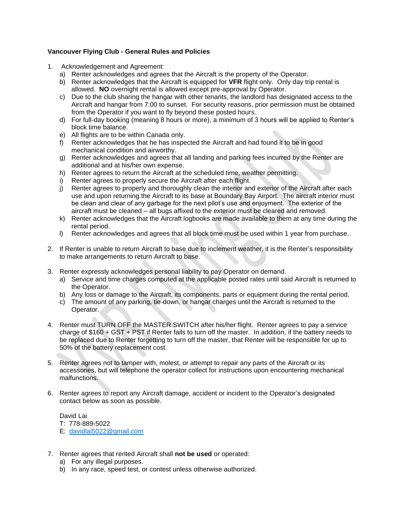# **Vancouver Flying Club - General Rules and Policies**

- 1. Acknowledgement and Agreement:
	- a) Renter acknowledges and agrees that the Aircraft is the property of the Operator.
	- b) Renter acknowledges that the Aircraft is equipped for **VFR** flight only. Only day trip rental is allowed. **NO** overnight rental is allowed except pre-approval by Operator.
	- c) Due to the club sharing the hangar with other tenants, the landlord has designated access to the Aircraft and hangar from 7:00 to sunset. For security reasons, prior permission must be obtained from the Operator if you want to fly beyond these posted hours.
	- d) For full-day booking (meaning 8 hours or more), a minimum of 3 hours will be applied to Renter's block time balance.
	- e) All flights are to be within Canada only.
	- f) Renter acknowledges that he has inspected the Aircraft and had found it to be in good mechanical condition and airworthy.
	- g) Renter acknowledges and agrees that all landing and parking fees incurred by the Renter are additional and at his/her own expense.
	- h) Renter agrees to return the Aircraft at the scheduled time, weather permitting.
	- i) Renter agrees to properly secure the Aircraft after each flight.
	- j) Renter agrees to properly and thoroughly clean the interior and exterior of the Aircraft after each use and upon returning the Aircraft to its base at Boundary Bay Airport. The aircraft interior must be clean and clear of any garbage for the next pilot's use and enjoyment. The exterior of the aircraft must be cleaned – all bugs affixed to the exterior must be cleared and removed.
	- k) Renter acknowledges that the Aircraft logbooks are made available to them at any time during the rental period.
	- l) Renter acknowledges and agrees that all block time must be used within 1 year from purchase.
- 2. If Renter is unable to return Aircraft to base due to inclement weather, it is the Renter's responsibility to make arrangements to return Aircraft to base.
- 3. Renter expressly acknowledges personal liability to pay Operator on demand.
	- a) Service and time charges computed at the applicable posted rates until said Aircraft is returned to the Operator.
	- b) Any loss or damage to the Aircraft, its components, parts or equipment during the rental period.
	- c) The amount of any parking, tie-down, or hangar charges until the Aircraft is returned to the Operator.
- 4. Renter must TURN OFF the MASTER SWITCH after his/her flight. Renter agrees to pay a service charge of \$160 + GST + PST if Renter fails to turn off the master. In addition, if the battery needs to be replaced due to Renter forgetting to turn off the master, that Renter will be responsible for up to 50% of the battery replacement cost.
- 5. Renter agrees not to tamper with, molest, or attempt to repair any parts of the Aircraft or its accessories, but will telephone the operator collect for instructions upon encountering mechanical malfunctions.
- 6. Renter agrees to report any Aircraft damage, accident or incident to the Operator's designated contact below as soon as possible.

David Lai T: 778-889-5022

- E: [davidlai5022@gmail.com](mailto:davidlai5022@gmail.com)
- 7. Renter agrees that rented Aircraft shall **not be used** or operated:
	- a) For any illegal purposes.
	- b) In any race, speed test, or contest unless otherwise authorized.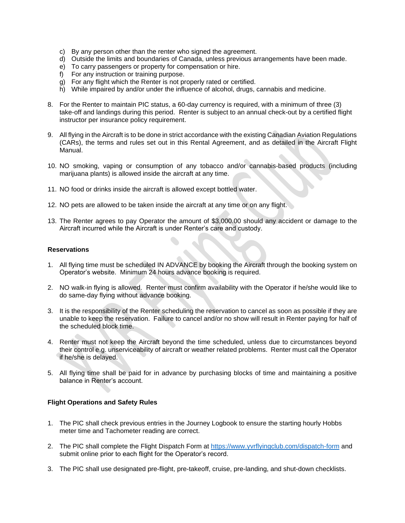- c) By any person other than the renter who signed the agreement.
- d) Outside the limits and boundaries of Canada, unless previous arrangements have been made.
- e) To carry passengers or property for compensation or hire.
- f) For any instruction or training purpose.
- g) For any flight which the Renter is not properly rated or certified.
- h) While impaired by and/or under the influence of alcohol, drugs, cannabis and medicine.
- 8. For the Renter to maintain PIC status, a 60-day currency is required, with a minimum of three (3) take-off and landings during this period. Renter is subject to an annual check-out by a certified flight instructor per insurance policy requirement.
- 9. All flying in the Aircraft is to be done in strict accordance with the existing Canadian Aviation Regulations (CARs), the terms and rules set out in this Rental Agreement, and as detailed in the Aircraft Flight Manual.
- 10. NO smoking, vaping or consumption of any tobacco and/or cannabis-based products (including marijuana plants) is allowed inside the aircraft at any time.
- 11. NO food or drinks inside the aircraft is allowed except bottled water.
- 12. NO pets are allowed to be taken inside the aircraft at any time or on any flight.
- 13. The Renter agrees to pay Operator the amount of \$3,000.00 should any accident or damage to the Aircraft incurred while the Aircraft is under Renter's care and custody.

#### **Reservations**

- 1. All flying time must be scheduled IN ADVANCE by booking the Aircraft through the booking system on Operator's website. Minimum 24 hours advance booking is required.
- 2. NO walk-in flying is allowed. Renter must confirm availability with the Operator if he/she would like to do same-day flying without advance booking.
- 3. It is the responsibility of the Renter scheduling the reservation to cancel as soon as possible if they are unable to keep the reservation. Failure to cancel and/or no show will result in Renter paying for half of the scheduled block time.
- 4. Renter must not keep the Aircraft beyond the time scheduled, unless due to circumstances beyond their control e.g. unserviceability of aircraft or weather related problems. Renter must call the Operator if he/she is delayed.
- 5. All flying time shall be paid for in advance by purchasing blocks of time and maintaining a positive balance in Renter's account.

### **Flight Operations and Safety Rules**

- 1. The PIC shall check previous entries in the Journey Logbook to ensure the starting hourly Hobbs meter time and Tachometer reading are correct.
- 2. The PIC shall complete the Flight Dispatch Form at<https://www.yvrflyingclub.com/dispatch-form> and submit online prior to each flight for the Operator's record.
- 3. The PIC shall use designated pre-flight, pre-takeoff, cruise, pre-landing, and shut-down checklists.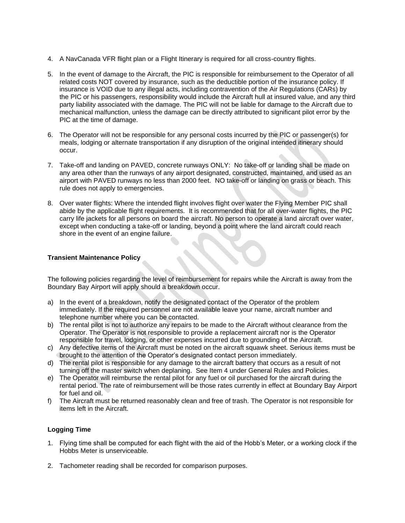- 4. A NavCanada VFR flight plan or a Flight Itinerary is required for all cross-country flights.
- 5. In the event of damage to the Aircraft, the PIC is responsible for reimbursement to the Operator of all related costs NOT covered by insurance, such as the deductible portion of the insurance policy. If insurance is VOID due to any illegal acts, including contravention of the Air Regulations (CARs) by the PIC or his passengers, responsibility would include the Aircraft hull at insured value, and any third party liability associated with the damage. The PIC will not be liable for damage to the Aircraft due to mechanical malfunction, unless the damage can be directly attributed to significant pilot error by the PIC at the time of damage.
- 6. The Operator will not be responsible for any personal costs incurred by the PIC or passenger(s) for meals, lodging or alternate transportation if any disruption of the original intended itinerary should occur.
- 7. Take-off and landing on PAVED, concrete runways ONLY: No take-off or landing shall be made on any area other than the runways of any airport designated, constructed, maintained, and used as an airport with PAVED runways no less than 2000 feet. NO take-off or landing on grass or beach. This rule does not apply to emergencies.
- 8. Over water flights: Where the intended flight involves flight over water the Flying Member PIC shall abide by the applicable flight requirements. It is recommended that for all over-water flights, the PIC carry life jackets for all persons on board the aircraft. No person to operate a land aircraft over water, except when conducting a take-off or landing, beyond a point where the land aircraft could reach shore in the event of an engine failure.

## **Transient Maintenance Policy**

The following policies regarding the level of reimbursement for repairs while the Aircraft is away from the Boundary Bay Airport will apply should a breakdown occur.

- a) In the event of a breakdown, notify the designated contact of the Operator of the problem immediately. If the required personnel are not available leave your name, aircraft number and telephone number where you can be contacted.
- b) The rental pilot is not to authorize any repairs to be made to the Aircraft without clearance from the Operator. The Operator is not responsible to provide a replacement aircraft nor is the Operator responsible for travel, lodging, or other expenses incurred due to grounding of the Aircraft.
- c) Any defective items of the Aircraft must be noted on the aircraft squawk sheet. Serious items must be brought to the attention of the Operator's designated contact person immediately.
- d) The rental pilot is responsible for any damage to the aircraft battery that occurs as a result of not turning off the master switch when deplaning. See Item 4 under General Rules and Policies.
- e) The Operator will reimburse the rental pilot for any fuel or oil purchased for the aircraft during the rental period. The rate of reimbursement will be those rates currently in effect at Boundary Bay Airport for fuel and oil.
- f) The Aircraft must be returned reasonably clean and free of trash. The Operator is not responsible for items left in the Aircraft.

### **Logging Time**

- 1. Flying time shall be computed for each flight with the aid of the Hobb's Meter, or a working clock if the Hobbs Meter is unserviceable.
- 2. Tachometer reading shall be recorded for comparison purposes.